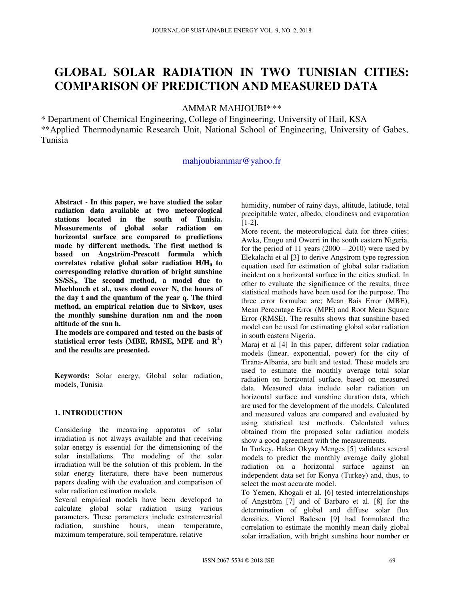# **GLOBAL SOLAR RADIATION IN TWO TUNISIAN CITIES: COMPARISON OF PREDICTION AND MEASURED DATA**

AMMAR MAHJOUBI\*<sup>\*\*\*</sup>

\* Department of Chemical Engineering, College of Engineering, University of Hail, KSA \*\*Applied Thermodynamic Research Unit, National School of Engineering, University of Gabes, Tunisia

# mahjoubiammar@yahoo.fr

**Abstract - In this paper, we have studied the solar radiation data available at two meteorological stations located in the south of Tunisia. Measurements of global solar radiation on horizontal surface are compared to predictions made by different methods. The first method is based on Angström-Prescott formula which correlates relative global solar radiation H/H0 to corresponding relative duration of bright sunshine SS/SS0. The second method, a model due to Mechlouch et al., uses cloud cover N, the hours of the day t and the quantum of the year q. The third method, an empirical relation due to Sivkov, uses the monthly sunshine duration nm and the noon altitude of the sun h.** 

**The models are compared and tested on the basis of statistical error tests (MBE, RMSE, MPE and R<sup>2</sup> ) and the results are presented.** 

**Keywords:** Solar energy, Global solar radiation, models, Tunisia

## **1. INTRODUCTION**

Considering the measuring apparatus of solar irradiation is not always available and that receiving solar energy is essential for the dimensioning of the solar installations. The modeling of the solar irradiation will be the solution of this problem. In the solar energy literature, there have been numerous papers dealing with the evaluation and comparison of solar radiation estimation models.

Several empirical models have been developed to calculate global solar radiation using various parameters. These parameters include extraterrestrial radiation, sunshine hours, mean temperature, maximum temperature, soil temperature, relative

humidity, number of rainy days, altitude, latitude, total precipitable water, albedo, cloudiness and evaporation [1-2].

More recent, the meteorological data for three cities; Awka, Enugu and Owerri in the south eastern Nigeria, for the period of 11 years  $(2000 - 2010)$  were used by Elekalachi et al [3] to derive Angstrom type regression equation used for estimation of global solar radiation incident on a horizontal surface in the cities studied. In other to evaluate the significance of the results, three statistical methods have been used for the purpose. The three error formulae are; Mean Bais Error (MBE), Mean Percentage Error (MPE) and Root Mean Square Error (RMSE). The results shows that sunshine based model can be used for estimating global solar radiation in south eastern Nigeria.

Maraj et al [4] In this paper, different solar radiation models (linear, exponential, power) for the city of Tirana-Albania, are built and tested. These models are used to estimate the monthly average total solar radiation on horizontal surface, based on measured data. Measured data include solar radiation on horizontal surface and sunshine duration data, which are used for the development of the models. Calculated and measured values are compared and evaluated by using statistical test methods. Calculated values obtained from the proposed solar radiation models show a good agreement with the measurements.

In Turkey, Hakan Okyay Menges [5] validates several models to predict the monthly average daily global radiation on a horizontal surface against an independent data set for Konya (Turkey) and, thus, to select the most accurate model.

To Yemen, Khogali et al. [6] tested interrelationships of Angström [7] and of Barbaro et al. [8] for the determination of global and diffuse solar flux densities. Viorel Badescu [9] had formulated the correlation to estimate the monthly mean daily global solar irradiation, with bright sunshine hour number or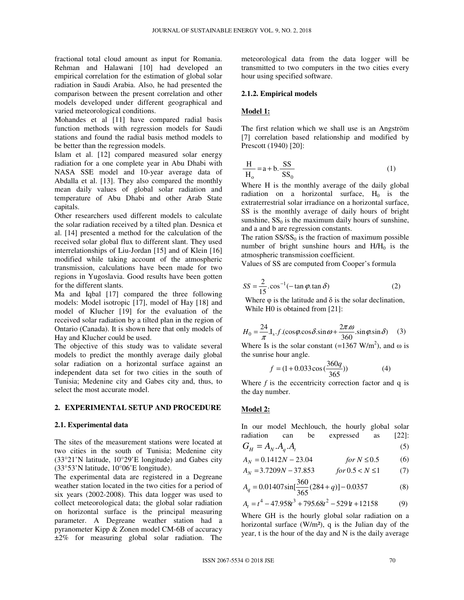fractional total cloud amount as input for Romania. Rehman and Halawani [10] had developed an empirical correlation for the estimation of global solar radiation in Saudi Arabia. Also, he had presented the comparison between the present correlation and other models developed under different geographical and varied meteorological conditions.

Mohandes et al [11] have compared radial basis function methods with regression models for Saudi stations and found the radial basis method models to be better than the regression models.

Islam et al. [12] compared measured solar energy radiation for a one complete year in Abu Dhabi with NASA SSE model and 10-year average data of Abdalla et al. [13]. They also compared the monthly mean daily values of global solar radiation and temperature of Abu Dhabi and other Arab State capitals.

Other researchers used different models to calculate the solar radiation received by a tilted plan. Desnica et al. [14] presented a method for the calculation of the received solar global flux to different slant. They used interrelationships of Liu-Jordan [15] and of Klein [16] modified while taking account of the atmospheric transmission, calculations have been made for two regions in Yugoslavia. Good results have been gotten for the different slants.

Ma and Iqbal [17] compared the three following models: Model isotropic [17], model of Hay [18] and model of Klucher [19] for the evaluation of the received solar radiation by a tilted plan in the region of Ontario (Canada). It is shown here that only models of Hay and Klucher could be used.

The objective of this study was to validate several models to predict the monthly average daily global solar radiation on a horizontal surface against an independent data set for two cities in the south of Tunisia; Medenine city and Gabes city and, thus, to select the most accurate model.

## **2. EXPERIMENTAL SETUP AND PROCEDURE**

#### **2.1. Experimental data**

The sites of the measurement stations were located at two cities in the south of Tunisia; Medenine city (33°21'N latitude, 10°29'E longitude) and Gabes city (33°53'N latitude, 10°06'E longitude).

The experimental data are registered in a Degreane weather station located in the two cities for a period of six years (2002-2008). This data logger was used to collect meteorological data; the global solar radiation on horizontal surface is the principal measuring parameter. A Degreane weather station had a pyranometer Kipp & Zonen model CM-6B of accuracy ±2% for measuring global solar radiation. The

meteorological data from the data logger will be transmitted to two computers in the two cities every hour using specified software.

#### **2.1.2. Empirical models**

#### **Model 1:**

The first relation which we shall use is an Angström [7] correlation based relationship and modified by Prescott (1940) [20]:

$$
\frac{H}{H_o} = a + b \cdot \frac{SS}{SS_0}
$$
 (1)

Where H is the monthly average of the daily global radiation on a horizontal surface,  $H_0$  is the extraterrestrial solar irradiance on a horizontal surface, SS is the monthly average of daily hours of bright sunshine,  $SS_0$  is the maximum daily hours of sunshine, and a and b are regression constants.

The ration  $SS/SS_0$  is the fraction of maximum possible number of bright sunshine hours and  $H/H<sub>0</sub>$  is the atmospheric transmission coefficient.

Values of SS are computed from Cooper's formula

$$
SS = \frac{2}{15} \cdot \cos^{-1}(-\tan \varphi \cdot \tan \delta)
$$
 (2)

Where  $\varphi$  is the latitude and  $\delta$  is the solar declination, While H0 is obtained from [21]:

$$
H_0 = \frac{24}{\pi} I_s.f.(\cos\varphi.\cos\delta.\sin\omega + \frac{2\pi \omega}{360}.\sin\varphi.\sin\delta)
$$
 (3)

Where Is is the solar constant (=1367 W/m<sup>2</sup>), and  $\omega$  is the sunrise hour angle.

$$
f = (1 + 0.033 \cos(\frac{360q}{365}))
$$
 (4)

Where  $f$  is the eccentricity correction factor and  $q$  is the day number.

#### **Model 2:**

In our model Mechlouch, the hourly global solar radiation can be expressed as [22]:

$$
G_H = A_N.A_q.A_t \tag{5}
$$

$$
A_N = 0.1412N - 23.04 \t\t for N \le 0.5 \t\t (6)
$$

$$
A_N = 3.7209N - 37.853 \t for 0.5 < N \le 1 \t (7)
$$

$$
A_q = 0.01407 \sin[\frac{360}{365}(284 + q)] - 0.0357\tag{8}
$$

$$
A_t = t^4 - 47.958t^3 + 795.68t^2 - 5291t + 12158
$$
 (9)

Where GH is the hourly global solar radiation on a horizontal surface  $(W/m^2)$ , q is the Julian day of the year, t is the hour of the day and N is the daily average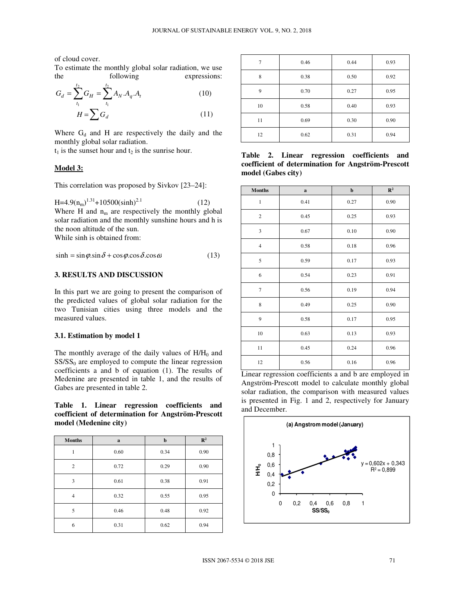of cloud cover.

To estimate the monthly global solar radiation, we use the following expressions:

$$
G_d = \sum_{t_1}^{t_2} G_H = \sum_{t_1}^{t_2} A_N . A_q . A_t
$$
 (10)  

$$
H = \sum G_d
$$
 (11)

Where  $G_d$  and H are respectively the daily and the monthly global solar radiation.

 $t_1$  is the sunset hour and  $t_2$  is the sunrise hour.

### **Model 3:**

This correlation was proposed by Sivkov [23–24]:

 $H=4.9(n_m)^{1.31}+10500(\sinh)^{2.1}$  (12) Where H and  $n_m$  are respectively the monthly global solar radiation and the monthly sunshine hours and h is the noon altitude of the sun. While sinh is obtained from:

 $\sinh = \sin \varphi \cdot \sin \delta + \cos \varphi \cdot \cos \delta \cdot \cos \omega$  (13)

# **3. RESULTS AND DISCUSSION**

In this part we are going to present the comparison of the predicted values of global solar radiation for the two Tunisian cities using three models and the measured values.

#### **3.1. Estimation by model 1**

The monthly average of the daily values of  $H/H_0$  and  $SS/SS<sub>0</sub>$  are employed to compute the linear regression coefficients a and b of equation (1). The results of Medenine are presented in table 1, and the results of Gabes are presented in table 2.

**Table 1. Linear regression coefficients and coefficient of determination for Angström-Prescott model (Medenine city)** 

| <b>Months</b>  | $\mathbf a$ | $\mathbf b$ | $\mathbb{R}^2$ |
|----------------|-------------|-------------|----------------|
| 1              | 0.60        | 0.34        | 0.90           |
| $\overline{2}$ | 0.72        | 0.29        | 0.90           |
| 3              | 0.61        | 0.38        | 0.91           |
| $\overline{4}$ | 0.32        | 0.55        | 0.95           |
| 5              | 0.46        | 0.48        | 0.92           |
| 6              | 0.31        | 0.62        | 0.94           |

| 7  | 0.46 | 0.44 | 0.93 |
|----|------|------|------|
| 8  | 0.38 | 0.50 | 0.92 |
| 9  | 0.70 | 0.27 | 0.95 |
| 10 | 0.58 | 0.40 | 0.93 |
| 11 | 0.69 | 0.30 | 0.90 |
| 12 | 0.62 | 0.31 | 0.94 |

**Table 2. Linear regression coefficients and coefficient of determination for Angström-Prescott model (Gabes city)** 

| <b>Months</b>  | $\mathbf a$ | $\mathbf b$ | $\mathbb{R}^2$ |
|----------------|-------------|-------------|----------------|
| $\,1$          | 0.41        | 0.27        | 0.90           |
| $\mathbf{2}$   | 0.45        | 0.25        | 0.93           |
| 3              | 0.67        | 0.10        | 0.90           |
| $\overline{4}$ | 0.58        | 0.18        | 0.96           |
| 5              | 0.59        | 0.17        | 0.93           |
| 6              | 0.54        | 0.23        | 0.91           |
| $\overline{7}$ | 0.56        | 0.19        | 0.94           |
| 8              | 0.49        | 0.25        | 0.90           |
| 9              | 0.58        | 0.17        | 0.95           |
| 10             | 0.63        | 0.13        | 0.93           |
| $11\,$         | 0.45        | 0.24        | 0.96           |
| 12             | 0.56        | 0.16        | 0.96           |

Linear regression coefficients a and b are employed in Angström-Prescott model to calculate monthly global solar radiation, the comparison with measured values is presented in Fig. 1 and 2, respectively for January and December.

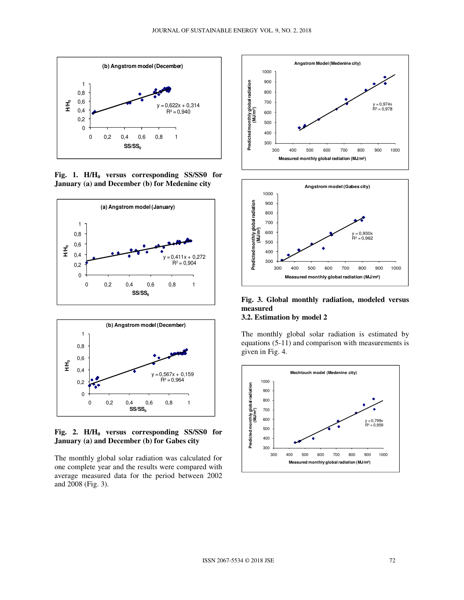

**Fig. 1. H/H0 versus corresponding SS/SS0 for January (a) and December (b) for Medenine city** 





**Fig. 2. H/H0 versus corresponding SS/SS0 for January (a) and December (b) for Gabes city** 

The monthly global solar radiation was calculated for one complete year and the results were compared with average measured data for the period between 2002 and 2008 (Fig. 3).





**Fig. 3. Global monthly radiation, modeled versus measured** 

# **3.2. Estimation by model 2**

The monthly global solar radiation is estimated by equations (5-11) and comparison with measurements is given in Fig. 4.

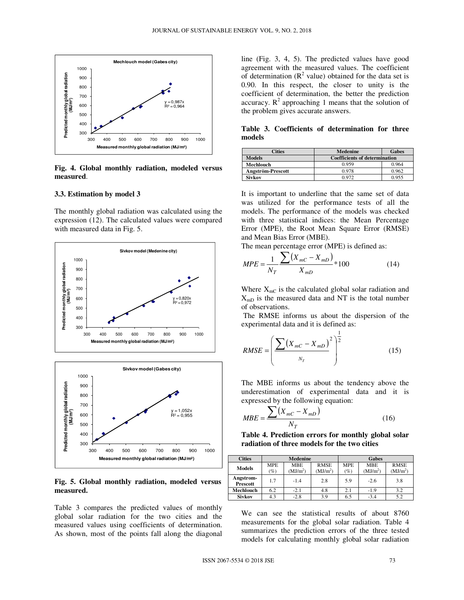

**Fig. 4. Global monthly radiation, modeled versus measured**.

#### **3.3. Estimation by model 3**

The monthly global radiation was calculated using the expression (12). The calculated values were compared with measured data in Fig. 5.





#### **Fig. 5. Global monthly radiation, modeled versus measured.**

Table 3 compares the predicted values of monthly global solar radiation for the two cities and the measured values using coefficients of determination. As shown, most of the points fall along the diagonal line (Fig. 3, 4, 5). The predicted values have good agreement with the measured values. The coefficient of determination  $(R^2 \text{ value})$  obtained for the data set is 0.90. In this respect, the closer to unity is the coefficient of determination, the better the prediction accuracy.  $R^2$  approaching 1 means that the solution of the problem gives accurate answers.

**Table 3. Coefficients of determination for three models** 

| `ities            | <b>Medenine</b>                      | <b>Gabes</b> |  |
|-------------------|--------------------------------------|--------------|--|
| <b>Models</b>     | <b>Coefficients of determination</b> |              |  |
| Mechlouch         | 0.959                                | 0.964        |  |
| Angström-Prescott | 0.978                                | 0.962        |  |
| Sivkov            | በ 972                                | 0.955        |  |

It is important to underline that the same set of data was utilized for the performance tests of all the models. The performance of the models was checked with three statistical indices: the Mean Percentage Error (MPE), the Root Mean Square Error (RMSE) and Mean Bias Error (MBE).

The mean percentage error (MPE) is defined as:

$$
MPE = \frac{1}{N_T} \frac{\sum (X_{mC} - X_{mD})}{X_{mD}} * 100
$$
 (14)

Where  $X_{\text{mC}}$  is the calculated global solar radiation and  $X_{mD}$  is the measured data and NT is the total number of observations.

 The RMSE informs us about the dispersion of the experimental data and it is defined as:

$$
RMSE = \left(\frac{\sum (X_{mC} - X_{mD})^2}{N_T}\right)^{\frac{1}{2}}
$$
(15)

 The MBE informs us about the tendency above the underestimation of experimental data and it is expressed by the following equation:

$$
MBE = \frac{\sum (X_{mC} - X_{mD})}{N_T}
$$
 (16)

**Table 4. Prediction errors for monthly global solar radiation of three models for the two cities**

| <b>Cities</b>                | <b>Medenine</b>      |                                    | Gabes                               |                      |                                    |                                     |
|------------------------------|----------------------|------------------------------------|-------------------------------------|----------------------|------------------------------------|-------------------------------------|
| <b>Models</b>                | <b>MPE</b><br>$(\%)$ | <b>MBE</b><br>(MJ/m <sup>2</sup> ) | <b>RMSE</b><br>(MJ/m <sup>2</sup> ) | <b>MPE</b><br>$(\%)$ | <b>MBE</b><br>(MJ/m <sup>2</sup> ) | <b>RMSE</b><br>(MJ/m <sup>2</sup> ) |
| Angstrom-<br><b>Prescott</b> | 1.7                  | $-1.4$                             | 2.8                                 | 5.9                  | $-2.6$                             | 3.8                                 |
| <b>Mechlouch</b>             | 6.2                  | $-2.1$                             | 4.8                                 | 2.1                  | $-1.9$                             | 3.2                                 |
| <b>Sivkov</b>                | 4.3                  | $-2.8$                             | 3.9                                 | 6.5                  | $-3.4$                             | 5.2                                 |

We can see the statistical results of about 8760 measurements for the global solar radiation. Table 4 summarizes the prediction errors of the three tested models for calculating monthly global solar radiation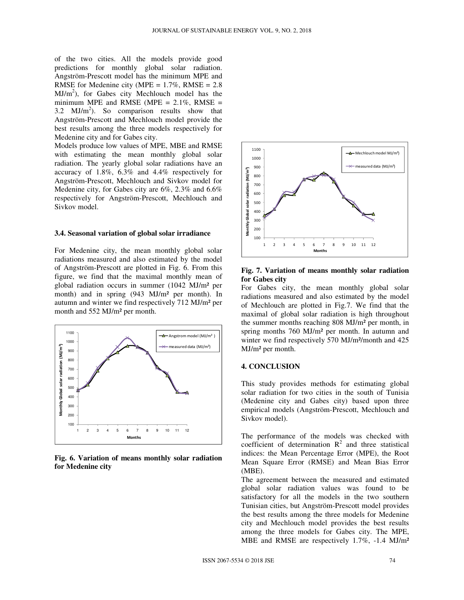of the two cities. All the models provide good predictions for monthly global solar radiation. Angström-Prescott model has the minimum MPE and RMSE for Medenine city (MPE =  $1.7\%$ , RMSE =  $2.8$ ) MJ/m<sup>2</sup>), for Gabes city Mechlouch model has the minimum MPE and RMSE (MPE =  $2.1\%$ , RMSE = 3.2  $MJ/m<sup>2</sup>$ ). So comparison results show that Angström-Prescott and Mechlouch model provide the best results among the three models respectively for Medenine city and for Gabes city.

Models produce low values of MPE, MBE and RMSE with estimating the mean monthly global solar radiation. The yearly global solar radiations have an accuracy of 1.8%, 6.3% and 4.4% respectively for Angström-Prescott, Mechlouch and Sivkov model for Medenine city, for Gabes city are 6%, 2.3% and 6.6% respectively for Angström-Prescott, Mechlouch and Sivkov model.

#### **3.4. Seasonal variation of global solar irradiance**

For Medenine city, the mean monthly global solar radiations measured and also estimated by the model of Angström-Prescott are plotted in Fig. 6. From this figure, we find that the maximal monthly mean of global radiation occurs in summer (1042 MJ/m² per month) and in spring (943 MJ/m<sup>2</sup> per month). In autumn and winter we find respectively 712 MJ/m² per month and 552 MJ/m² per month.



**Fig. 6. Variation of means monthly solar radiation for Medenine city** 



**Fig. 7. Variation of means monthly solar radiation for Gabes city** 

For Gabes city, the mean monthly global solar radiations measured and also estimated by the model of Mechlouch are plotted in Fig.7. We find that the maximal of global solar radiation is high throughout the summer months reaching 808 MJ/m² per month, in spring months 760 MJ/m² per month. In autumn and winter we find respectively 570 MJ/m<sup>2</sup>/month and 425 MJ/m² per month.

#### **4. CONCLUSION**

This study provides methods for estimating global solar radiation for two cities in the south of Tunisia (Medenine city and Gabes city) based upon three empirical models (Angström-Prescott, Mechlouch and Sivkov model).

The performance of the models was checked with coefficient of determination  $R^2$  and three statistical indices: the Mean Percentage Error (MPE), the Root Mean Square Error (RMSE) and Mean Bias Error (MBE).

The agreement between the measured and estimated global solar radiation values was found to be satisfactory for all the models in the two southern Tunisian cities, but Angström-Prescott model provides the best results among the three models for Medenine city and Mechlouch model provides the best results among the three models for Gabes city. The MPE, MBE and RMSE are respectively 1.7%, -1.4 MJ/m²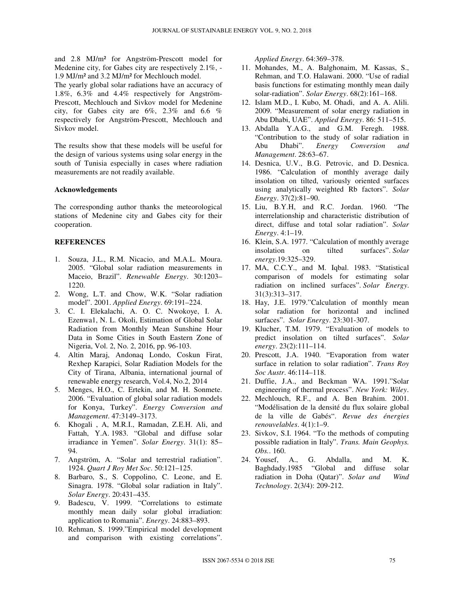and 2.8 MJ/m² for Angström-Prescott model for Medenine city, for Gabes city are respectively 2.1%, - 1.9 MJ/m² and 3.2 MJ/m² for Mechlouch model.

The yearly global solar radiations have an accuracy of 1.8%, 6.3% and 4.4% respectively for Angström-Prescott, Mechlouch and Sivkov model for Medenine city, for Gabes city are  $6\%$ ,  $2.3\%$  and  $6.6\%$ respectively for Angström-Prescott, Mechlouch and Sivkov model.

The results show that these models will be useful for the design of various systems using solar energy in the south of Tunisia especially in cases where radiation measurements are not readily available.

#### **Acknowledgements**

The corresponding author thanks the meteorological stations of Medenine city and Gabes city for their cooperation.

## **REFERENCES**

- 1. Souza, J.L., R.M. Nicacio, and M.A.L. Moura. 2005. "Global solar radiation measurements in Maceio, Brazil". *Renewable Energy*. 30:1203– 1220.
- 2. Wong, L.T. and Chow, W.K. "Solar radiation model". 2001. *Applied Energy*. 69:191–224.
- 3. C. I. Elekalachi, A. O. C. Nwokoye, I. A. Ezenwa1, N. L. Okoli, Estimation of Global Solar Radiation from Monthly Mean Sunshine Hour Data in Some Cities in South Eastern Zone of Nigeria, Vol. 2, No. 2, 2016, pp. 96-103.
- 4. Altin Maraj, Andonaq Londo, Coskun Firat, Rexhep Karapici, Solar Radiation Models for the City of Tirana, Albania, international journal of renewable energy research, Vol.4, No.2, 2014
- 5. Menges, H.O., C. Ertekin, and M. H. Sonmete. 2006. "Evaluation of global solar radiation models for Konya, Turkey". *Energy Conversion and Management*. 47:3149–3173.
- 6. Khogali , A, M.R.I., Ramadan, Z.E.H. Ali, and Fattah, Y.A. 1983. "Global and diffuse solar irradiance in Yemen". *Solar Energy*. 31(1): 85– 94.
- 7. Angström, A. "Solar and terrestrial radiation". 1924. *Quart J Roy Met Soc*. 50:121–125.
- 8. Barbaro, S., S. Coppolino, C. Leone, and E. Sinagra. 1978. "Global solar radiation in Italy". *Solar Energy*. 20:431–435.
- 9. Badescu, V. 1999. "Correlations to estimate monthly mean daily solar global irradiation: application to Romania". *Energy*. 24:883–893.
- 10. Rehman, S. 1999."Empirical model development and comparison with existing correlations".

*Applied Energy*. 64:369–378.

- 11. Mohandes, M., A. Balghonaim, M. Kassas, S., Rehman, and T.O. Halawani. 2000. "Use of radial basis functions for estimating monthly mean daily solar-radiation". *Solar Energy*. 68(2):161–168.
- 12. Islam M.D., I. Kubo, M. Ohadi, and A. A. Alili. 2009. "Measurement of solar energy radiation in Abu Dhabi, UAE". *Applied Energy*. 86: 511–515.
- 13. Abdalla Y.A.G., and G.M. Feregh. 1988. "Contribution to the study of solar radiation in Abu Dhabi". *Energy Conversion and Management*. 28:63–67.
- 14. Desnica, U.V., B.G. Petrovic, and D. Desnica. 1986. "Calculation of monthly average daily insolation on tilted, variously oriented surfaces using analytically weighted Rb factors". *Solar Energy*. 37(2):81–90.
- 15. Liu, B.Y.H, and R.C. Jordan. 1960. "The interrelationship and characteristic distribution of direct, diffuse and total solar radiation". *Solar Energy*. 4:1–19.
- 16. Klein, S.A. 1977. "Calculation of monthly average insolation on tilted surfaces". *Solar energy*.19:325–329.
- 17. MA, C.C.Y., and M. Iqbal. 1983. "Statistical comparison of models for estimating solar radiation on inclined surfaces". *Solar Energy*. 31(3):313–317.
- 18. Hay, J.E. 1979."Calculation of monthly mean solar radiation for horizontal and inclined surfaces". *Solar Energy*. 23:301-307.
- 19. Klucher, T.M. 1979. "Evaluation of models to predict insolation on tilted surfaces". *Solar energy*. 23(2):111–114.
- 20. Prescott, J.A. 1940. "Evaporation from water surface in relation to solar radiation". *Trans Roy Soc Austr*. 46:114–118.
- 21. Duffie, J.A., and Beckman WA. 1991."Solar engineering of thermal process". *New York: Wiley*.
- 22. Mechlouch, R.F., and A. Ben Brahim. 2001. "Modélisation de la densité du flux solaire global de la ville de Gabés". *Revue des énergies renouvelables*. 4(1):1–9.
- 23. Sivkov, S.I. 1964. "To the methods of computing possible radiation in Italy". *Trans. Main Geophys. Obs.*. 160.
- 24. Yousef, A., G. Abdalla, and M. K. Baghdady.1985 "Global and diffuse solar radiation in Doha (Qatar)". *Solar and Wind Technology*. 2(3/4): 209-212.